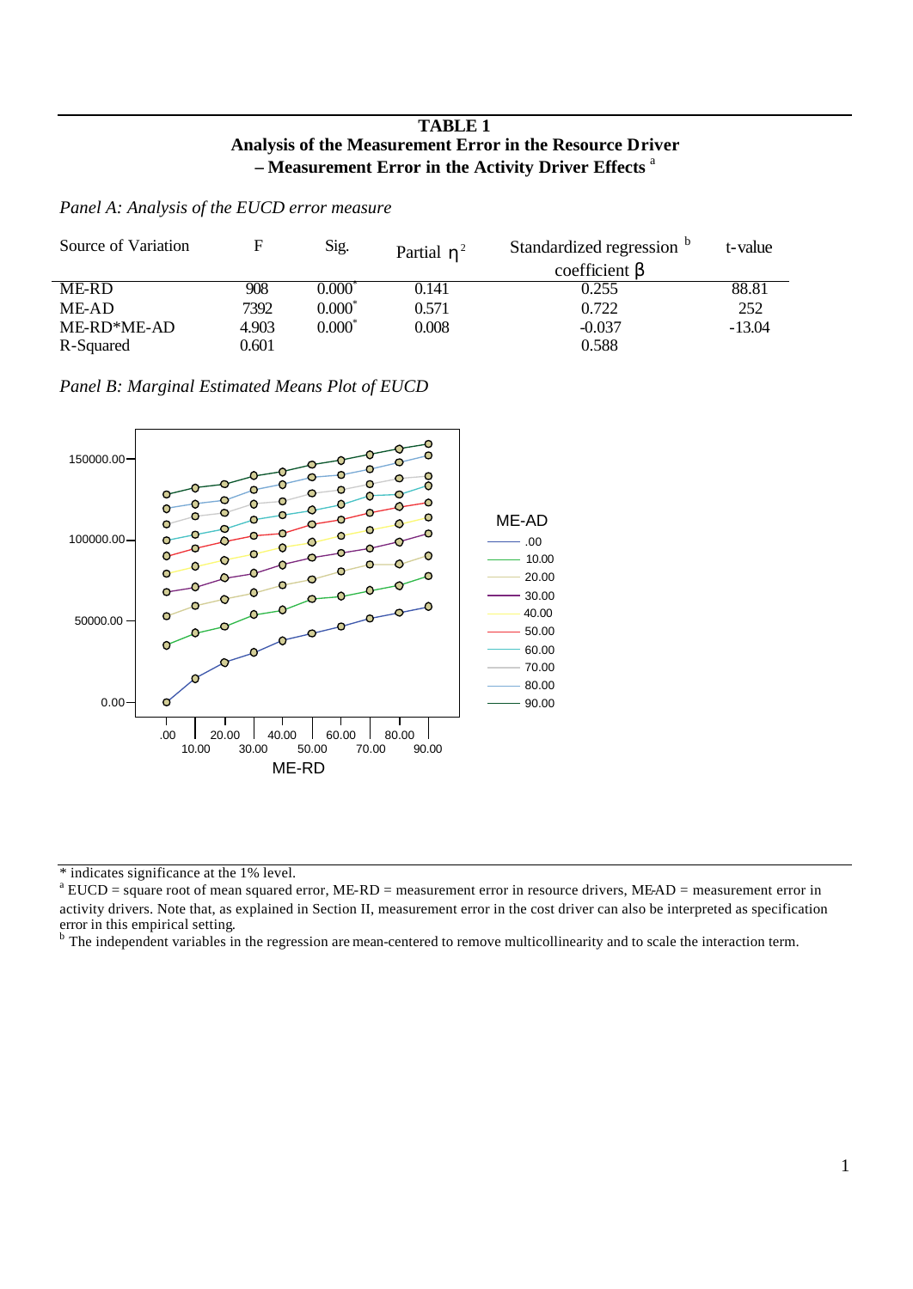## **TABLE 1 Analysis of the Measurement Error in the Resource Driver – Measurement Error in the Activity Driver Effects** <sup>a</sup>

*Panel A: Analysis of the EUCD error measure*

| Source of Variation |       | Sig.          | Partial $h^2$ | Standardized regression | t-value  |
|---------------------|-------|---------------|---------------|-------------------------|----------|
|                     |       |               |               | coefficient $\beta$     |          |
| ME-RD               | 908   | $0.000^\circ$ | 0.141         | 0.255                   | 88.81    |
| ME-AD               | 7392  | $0.000^{*}$   | 0.571         | 0.722                   | 252      |
| ME-RD*ME-AD         | 4.903 | $0.000^*$     | 0.008         | $-0.037$                | $-13.04$ |
| R-Squared           | 0.601 |               |               | 0.588                   |          |

*Panel B: Marginal Estimated Means Plot of EUCD*



\* indicates significance at the 1% level.

 $^{\text{a}}$  EUCD = square root of mean squared error, ME-RD = measurement error in resource drivers, ME-AD = measurement error in activity drivers. Note that, as explained in Section II, measurement error in the cost driver can also be interpreted as specification

error in this empirical setting.<br><sup>b</sup> The independent variables in the regression are mean-centered to remove multicollinearity and to scale the interaction term.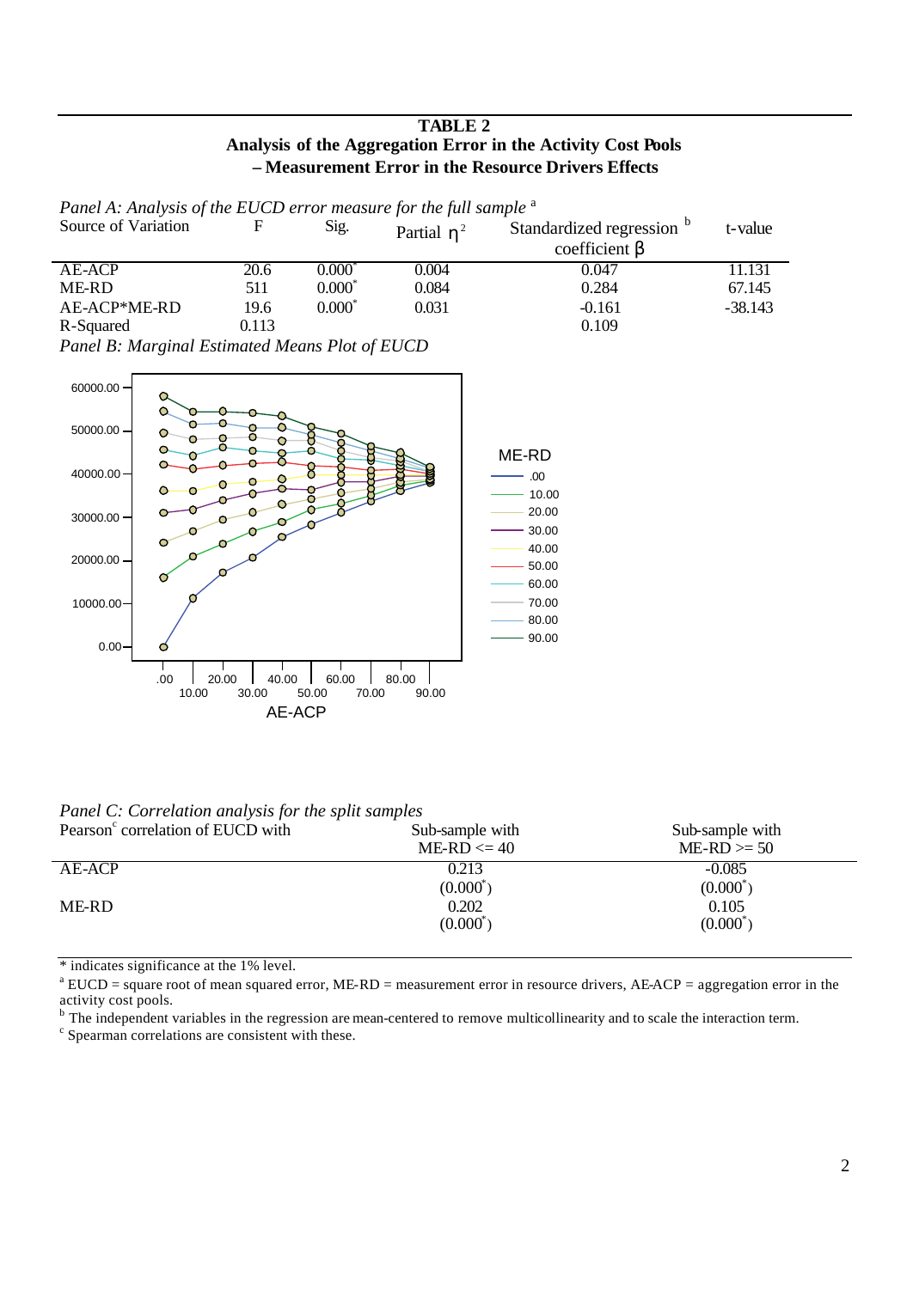## **TABLE 2 Analysis of the Aggregation Error in the Activity Cost Pools – Measurement Error in the Resource Drivers Effects**

| Panel A: Analysis of the EUCD error measure for the full sample <sup>a</sup> |       |           |               |                                                  |           |  |
|------------------------------------------------------------------------------|-------|-----------|---------------|--------------------------------------------------|-----------|--|
| Source of Variation                                                          |       | Sig.      | Partial $h^2$ | Standardized regression b<br>coefficient $\beta$ | t-value   |  |
| AE-ACP                                                                       | 20.6  | 0.000*    | 0.004         | 0.047                                            | 11.131    |  |
| ME-RD                                                                        | 511   | $0.000^*$ | 0.084         | 0.284                                            | 67.145    |  |
| AE-ACP*ME-RD                                                                 | 19.6  | $0.000*$  | 0.031         | $-0.161$                                         | $-38.143$ |  |
| R-Squared                                                                    | 0.113 |           |               | 0.109                                            |           |  |

*Panel B: Marginal Estimated Means Plot of EUCD*



*Panel C: Correlation analysis for the split samples*

| Pearson <sup>c</sup> correlation of EUCD with | Sub-sample with<br>$ME-RD \leq 40$ | Sub-sample with<br>$ME-RD \geq 50$ |
|-----------------------------------------------|------------------------------------|------------------------------------|
| AE-ACP                                        | 0.213<br>$(0.000^*)$               | $-0.085$<br>$(0.000^*)$            |
| ME-RD                                         | 0.202<br>$(0.000^*)$               | 0.105<br>$(0.000^*)$               |

\* indicates significance at the 1% level.

 $a<sup>a</sup> EUCD = square root of mean squared error, ME-RD = measurement error in resource drivers, AEACP = aggregation error in the$ activity cost pools.

<sup>b</sup> The independent variables in the regression are mean-centered to remove multicollinearity and to scale the interaction term.

<sup>c</sup> Spearman correlations are consistent with these.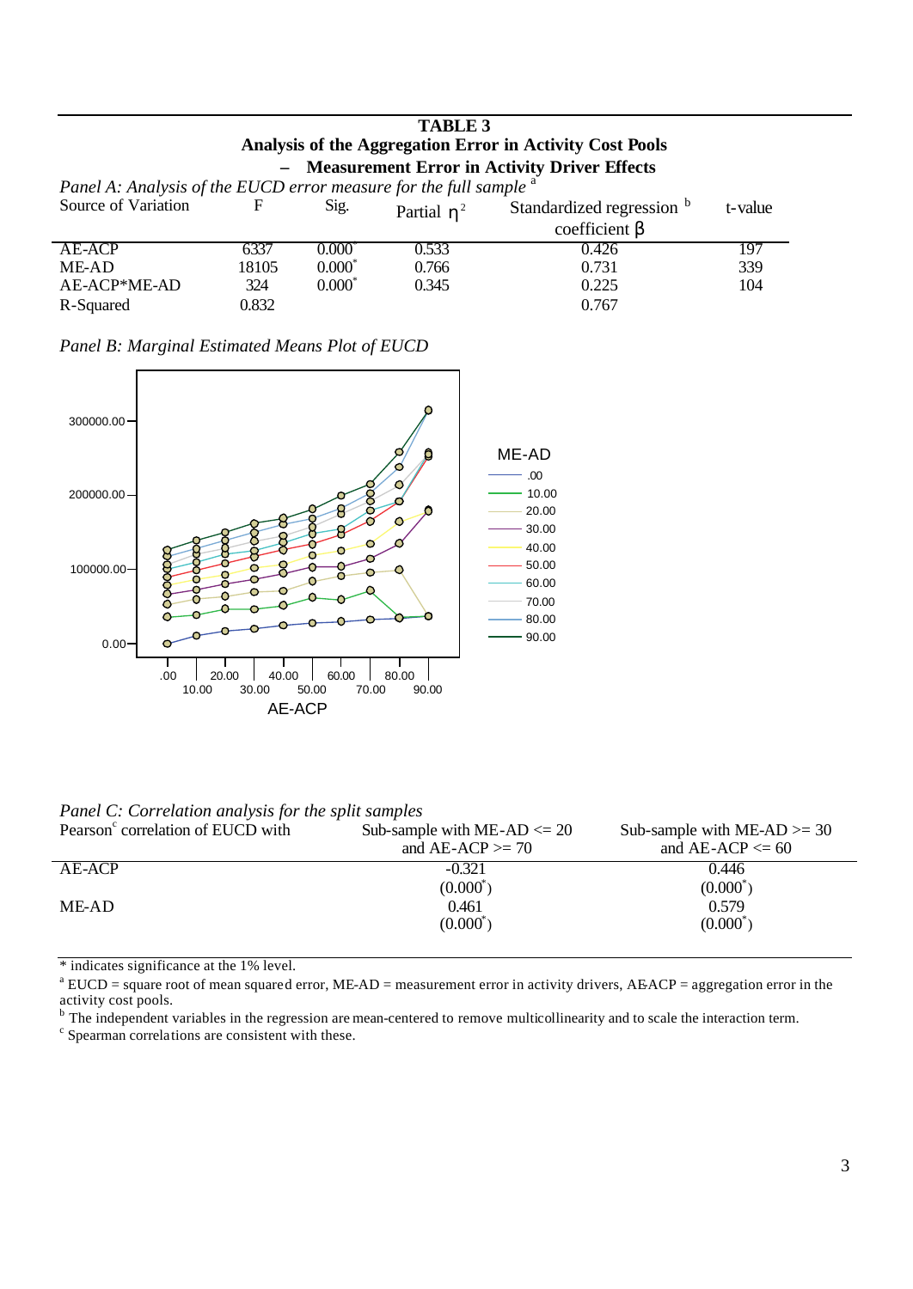| <b>TABLE 3</b>                                                               |       |                 |               |                                                |         |
|------------------------------------------------------------------------------|-------|-----------------|---------------|------------------------------------------------|---------|
| Analysis of the Aggregation Error in Activity Cost Pools                     |       |                 |               |                                                |         |
|                                                                              |       |                 |               | - Measurement Error in Activity Driver Effects |         |
| Panel A: Analysis of the EUCD error measure for the full sample <sup>a</sup> |       |                 |               |                                                |         |
| Source of Variation                                                          | F     | Sig.            | Partial $h^2$ | Standardized regression b                      | t-value |
|                                                                              |       |                 |               | coefficient $\beta$                            |         |
| AE-ACP                                                                       | 6337  | $0.000^{\circ}$ | 0.533         | 0.426                                          | 197     |
| ME-AD                                                                        | 18105 | $0.000*$        | 0.766         | 0.731                                          | 339     |
| AE-ACP*ME-AD                                                                 | 324   | $0.000^*$       | 0.345         | 0.225                                          | 104     |
| R-Squared                                                                    | 0.832 |                 |               | 0.767                                          |         |

|  |  | Panel B: Marginal Estimated Means Plot of EUCD |  |  |  |
|--|--|------------------------------------------------|--|--|--|
|--|--|------------------------------------------------|--|--|--|



*Panel C: Correlation analysis for the split samples*

| Pearson <sup>c</sup> correlation of EUCD with | Sub-sample with ME-AD $\leq$ 20<br>and $AE-ACP \geq 70$ | Sub-sample with $MEAD \ge 30$<br>and $AE-ACP \leq 60$ |
|-----------------------------------------------|---------------------------------------------------------|-------------------------------------------------------|
| AE-ACP                                        | $-0.321$                                                | 0.446                                                 |
|                                               | $(0.000^*)$                                             | $(0.000^*)$                                           |
| ME-AD                                         | 0.461                                                   | 0.579                                                 |
|                                               | $(0.000^*)$                                             | $(0.000^*)$                                           |

\* indicates significance at the 1% level.

 $a^a$  EUCD = square root of mean squared error, ME-AD = measurement error in activity drivers, AEACP = aggregation error in the activity cost pools.

<sup>b</sup> The independent variables in the regression are mean-centered to remove multicollinearity and to scale the interaction term.

<sup>c</sup> Spearman correlations are consistent with these.